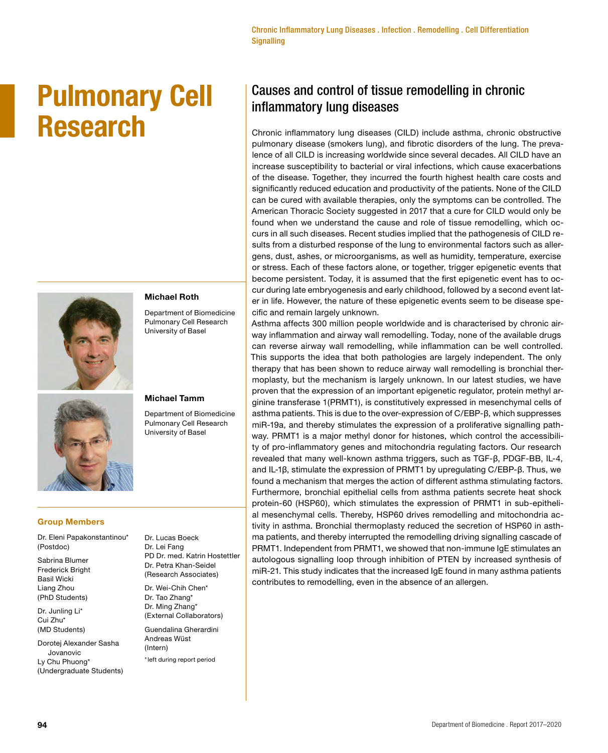# **Pulmonary Cell Research**





#### Department of Biomedicine Pulmonary Cell Research University of Basel

**Michael Roth** 

## **Michael Tamm**

Department of Biomedicine Pulmonary Cell Research University of Basel

# **Group Members**

Dr. Eleni Papakonstantinou\* (Postdoc)

Sabrina Blumer Frederick Bright Basil Wicki Liang Zhou (PhD Students)

Dr. Junling Li\* Cui Zhu\* (MD Students)

Dorotej Alexander Sasha Jovanovic Ly Chu Phuong\* (Undergraduate Students) Dr. Lucas Boeck Dr. Lei Fang PD Dr. med. Katrin Hostettler Dr. Petra Khan-Seidel (Research Associates)

- Dr. Wei-Chih Chen\* Dr. Tao Zhang\* Dr. Ming Zhang\* (External Collaborators)
- Guendalina Gherardini Andreas Wüst (Intern)

\*left during report period

# Causes and control of tissue remodelling in chronic inflammatory lung diseases

Chronic inflammatory lung diseases (CILD) include asthma, chronic obstructive pulmonary disease (smokers lung), and fibrotic disorders of the lung. The prevalence of all CILD is increasing worldwide since several decades. All CILD have an increase susceptibility to bacterial or viral infections, which cause exacerbations of the disease. Together, they incurred the fourth highest health care costs and significantly reduced education and productivity of the patients. None of the CILD can be cured with available therapies, only the symptoms can be controlled. The American Thoracic Society suggested in 2017 that a cure for CILD would only be found when we understand the cause and role of tissue remodelling, which occurs in all such diseases. Recent studies implied that the pathogenesis of CILD results from a disturbed response of the lung to environmental factors such as allergens, dust, ashes, or microorganisms, as well as humidity, temperature, exercise or stress. Each of these factors alone, or together, trigger epigenetic events that become persistent. Today, it is assumed that the first epigenetic event has to occur during late embryogenesis and early childhood, followed by a second event later in life. However, the nature of these epigenetic events seem to be disease specific and remain largely unknown.

Asthma affects 300 million people worldwide and is characterised by chronic airway inflammation and airway wall remodelling. Today, none of the available drugs can reverse airway wall remodelling, while inflammation can be well controlled. This supports the idea that both pathologies are largely independent. The only therapy that has been shown to reduce airway wall remodelling is bronchial thermoplasty, but the mechanism is largely unknown. In our latest studies, we have proven that the expression of an important epigenetic regulator, protein methyl arginine transferase 1(PRMT1), is constitutively expressed in mesenchymal cells of asthma patients. This is due to the over-expression of C/EBP-β, which suppresses miR-19a, and thereby stimulates the expression of a proliferative signalling pathway. PRMT1 is a major methyl donor for histones, which control the accessibility of pro-inflammatory genes and mitochondria regulating factors. Our research revealed that many well-known asthma triggers, such as TGF-β, PDGF-BB, IL-4, and IL-1β, stimulate the expression of PRMT1 by upregulating C/EBP-β. Thus, we found a mechanism that merges the action of different asthma stimulating factors. Furthermore, bronchial epithelial cells from asthma patients secrete heat shock protein-60 (HSP60), which stimulates the expression of PRMT1 in sub-epithelial mesenchymal cells. Thereby, HSP60 drives remodelling and mitochondria activity in asthma. Bronchial thermoplasty reduced the secretion of HSP60 in asthma patients, and thereby interrupted the remodelling driving signalling cascade of PRMT1. Independent from PRMT1, we showed that non-immune IgE stimulates an autologous signalling loop through inhibition of PTEN by increased synthesis of miR-21. This study indicates that the increased IgE found in many asthma patients contributes to remodelling, even in the absence of an allergen.